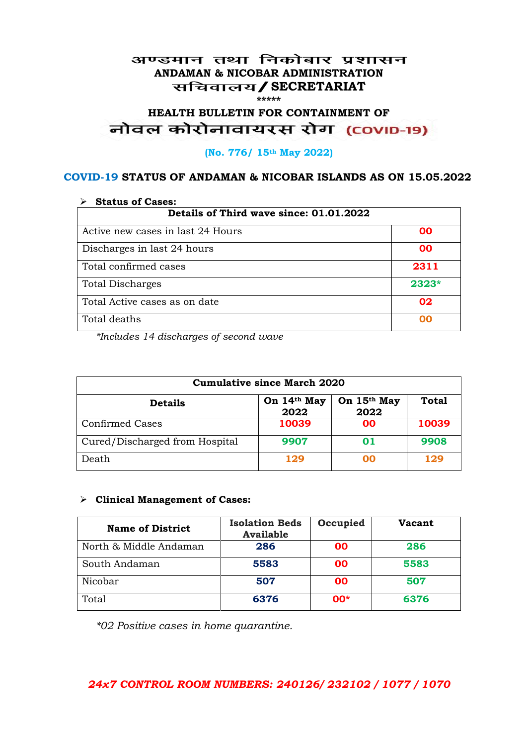#### अण्डमान तथा निकोबार प्रशासन **ANDAMAN & NICOBAR ADMINISTRATION /SECRETARIAT \*\*\*\*\***

# **HEALTH BULLETIN FOR CONTAINMENT OF**  नोवल कोरोनावायरस रोग (COVID-19)

#### **(No. 776/ 15th May 2022)**

#### **COVID-19 STATUS OF ANDAMAN & NICOBAR ISLANDS AS ON 15.05.2022**

| <b>Status of Cases:</b>                 |         |  |
|-----------------------------------------|---------|--|
| Details of Third wave since: 01.01.2022 |         |  |
| Active new cases in last 24 Hours       | 00      |  |
| Discharges in last 24 hours             | 00      |  |
| Total confirmed cases                   | 2311    |  |
| <b>Total Discharges</b>                 | $2323*$ |  |
| Total Active cases as on date           | 02      |  |
| Total deaths                            | oo      |  |

*\*Includes 14 discharges of second wave*

| <b>Cumulative since March 2020</b> |                     |                     |              |
|------------------------------------|---------------------|---------------------|--------------|
| <b>Details</b>                     | On 14th May<br>2022 | On 15th May<br>2022 | <b>Total</b> |
| <b>Confirmed Cases</b>             | 10039               | 00                  | 10039        |
| Cured/Discharged from Hospital     | 9907                | 01                  | 9908         |
| Death                              | 129                 | ററ                  | 129          |

#### **Clinical Management of Cases:**

| <b>Name of District</b> | <b>Isolation Beds</b><br><b>Available</b> | Occupied  | Vacant |
|-------------------------|-------------------------------------------|-----------|--------|
| North & Middle Andaman  | 286                                       | <b>OO</b> | 286    |
| South Andaman           | 5583                                      | <b>OO</b> | 5583   |
| Nicobar                 | 507                                       | <b>OO</b> | 507    |
| Total                   | 6376                                      | $00*$     | 6376   |

*\*02 Positive cases in home quarantine.*

### *24x7 CONTROL ROOM NUMBERS: 240126/ 232102 / 1077 / 1070*